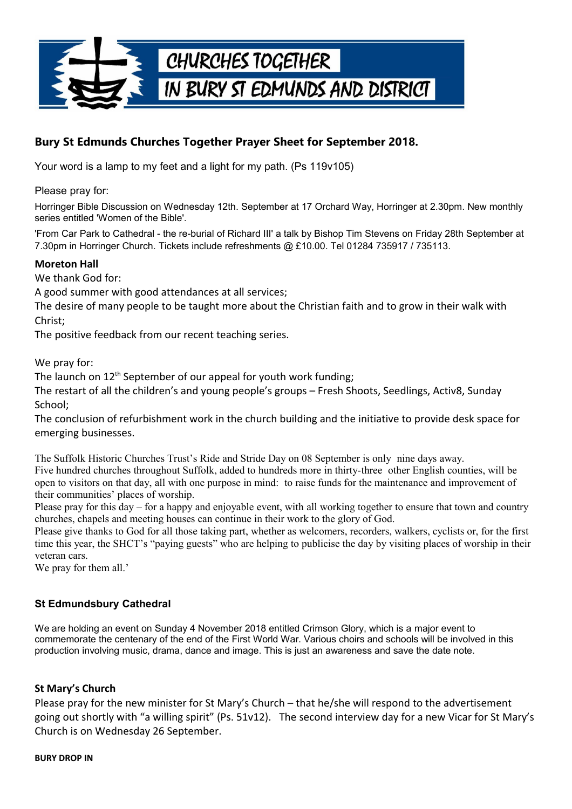

# **Bury St Edmunds Churches Together Prayer Sheet for September 2018.**

Your word is a lamp to my feet and a light for my path. (Ps 119v105)

Please pray for:

Horringer Bible Discussion on Wednesday 12th. September at 17 Orchard Way, Horringer at 2.30pm. New monthly series entitled 'Women of the Bible'.

'From Car Park to Cathedral - the re-burial of Richard III' a talk by Bishop Tim Stevens on Friday 28th September at 7.30pm in Horringer Church. Tickets include refreshments @ £10.00. Tel 01284 735917 / 735113.

### **Moreton Hall**

We thank God for:

A good summer with good attendances at all services;

The desire of many people to be taught more about the Christian faith and to grow in their walk with Christ;

The positive feedback from our recent teaching series.

We pray for:

The launch on  $12<sup>th</sup>$  September of our appeal for youth work funding;

The restart of all the children's and young people's groups – Fresh Shoots, Seedlings, Activ8, Sunday School;

The conclusion of refurbishment work in the church building and the initiative to provide desk space for emerging businesses.

The Suffolk Historic Churches Trust's Ride and Stride Day on 08 September is only nine days away. Five hundred churches throughout Suffolk, added to hundreds more in thirty-three other English counties, will be open to visitors on that day, all with one purpose in mind: to raise funds for the maintenance and improvement of their communities' places of worship.

Please pray for this day – for a happy and enjoyable event, with all working together to ensure that town and country churches, chapels and meeting houses can continue in their work to the glory of God.

Please give thanks to God for all those taking part, whether as welcomers, recorders, walkers, cyclists or, for the first time this year, the SHCT's "paying guests" who are helping to publicise the day by visiting places of worship in their veteran cars.

We pray for them all.'

## **St Edmundsbury Cathedral**

We are holding an event on Sunday 4 November 2018 entitled Crimson Glory, which is a major event to commemorate the centenary of the end of the First World War. Various choirs and schools will be involved in this production involving music, drama, dance and image. This is just an awareness and save the date note.

### **St Mary's Church**

Please pray for the new minister for St Mary's Church – that he/she will respond to the advertisement going out shortly with "a willing spirit" (Ps. 51v12). The second interview day for a new Vicar for St Mary's Church is on Wednesday 26 September.